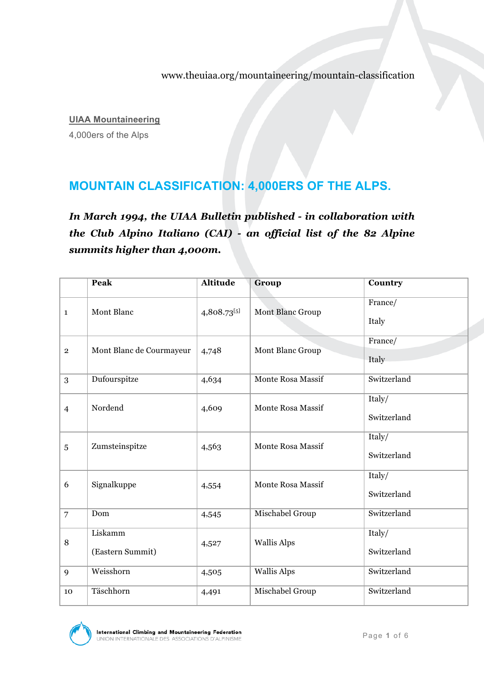www.theuiaa.org/mountaineering/mountain-classification

**UIAA Mountaineering**

4,000ers of the Alps

## **MOUNTAIN CLASSIFICATION: 4,000ERS OF THE ALPS.**

*In March 1994, the UIAA Bulletin published - in collaboration with the Club Alpino Italiano (CAI) - an official list of the 82 Alpine summits higher than 4,000m.* 

|                | Peak                        | <b>Altitude</b> | Group                    | Country               |
|----------------|-----------------------------|-----------------|--------------------------|-----------------------|
| $\mathbf{1}$   | Mont Blanc                  | 4,808.73[5]     | Mont Blanc Group         | France/<br>Italy      |
| $\overline{2}$ | Mont Blanc de Courmayeur    | 4,748           | Mont Blanc Group         | France/<br>Italy      |
| 3              | Dufourspitze                | 4,634           | <b>Monte Rosa Massif</b> | Switzerland           |
| $\overline{4}$ | Nordend                     | 4,609           | <b>Monte Rosa Massif</b> | Italy/<br>Switzerland |
| 5              | Zumsteinspitze              | 4,563           | <b>Monte Rosa Massif</b> | Italy/<br>Switzerland |
| 6              | Signalkuppe                 | 4,554           | Monte Rosa Massif        | Italy/<br>Switzerland |
| $\overline{7}$ | Dom                         | 4,545           | Mischabel Group          | Switzerland           |
| 8              | Liskamm<br>(Eastern Summit) | 4,527           | <b>Wallis Alps</b>       | Italy/<br>Switzerland |
| 9              | Weisshorn                   | 4,505           | <b>Wallis Alps</b>       | Switzerland           |
| 10             | Täschhorn                   | 4,491           | Mischabel Group          | Switzerland           |

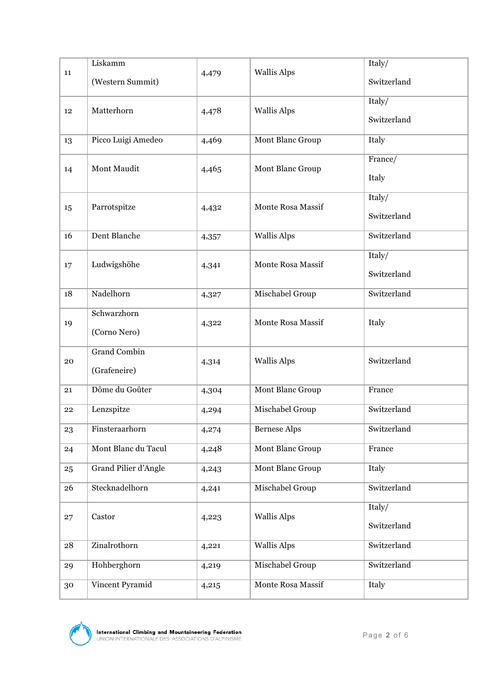|    | Liskamm              |       | <b>Wallis Alps</b>       | Italy/      |
|----|----------------------|-------|--------------------------|-------------|
| 11 | (Western Summit)     | 4,479 |                          | Switzerland |
|    |                      |       | <b>Wallis Alps</b>       | Italy/      |
| 12 | Matterhorn           | 4,478 |                          | Switzerland |
| 13 | Picco Luigi Amedeo   | 4,469 | Mont Blanc Group         | Italy       |
|    | Mont Maudit          | 4,465 | Mont Blanc Group         | France/     |
| 14 |                      |       |                          | Italy       |
|    | Parrotspitze         | 4,432 | Monte Rosa Massif        | Italy/      |
| 15 |                      |       |                          | Switzerland |
| 16 | Dent Blanche         | 4,357 | <b>Wallis Alps</b>       | Switzerland |
| 17 | Ludwigshöhe          | 4,341 | <b>Monte Rosa Massif</b> | Italy/      |
|    |                      |       |                          | Switzerland |
| 18 | Nadelhorn            | 4,327 | Mischabel Group          | Switzerland |
|    | Schwarzhorn          | 4,322 | Monte Rosa Massif        |             |
| 19 | (Corno Nero)         |       |                          | Italy       |
|    | <b>Grand Combin</b>  | 4,314 | <b>Wallis Alps</b>       |             |
| 20 | (Grafeneire)         |       |                          | Switzerland |
| 21 | Dôme du Goûter       | 4,304 | Mont Blanc Group         | France      |
| 22 | Lenzspitze           | 4,294 | Mischabel Group          | Switzerland |
| 23 | Finsteraarhorn       | 4,274 | <b>Bernese Alps</b>      | Switzerland |
| 24 | Mont Blanc du Tacul  | 4,248 | <b>Mont Blanc Group</b>  | France      |
| 25 | Grand Pilier d'Angle | 4,243 | Mont Blanc Group         | Italy       |
| 26 | Stecknadelhorn       | 4,241 | Mischabel Group          | Switzerland |
|    | Castor               | 4,223 | <b>Wallis Alps</b>       | Italy/      |
| 27 |                      |       |                          | Switzerland |
| 28 | Zinalrothorn         | 4,221 | <b>Wallis Alps</b>       | Switzerland |
| 29 | Hohberghorn          | 4,219 | Mischabel Group          | Switzerland |
| 30 | Vincent Pyramid      | 4,215 | Monte Rosa Massif        | Italy       |

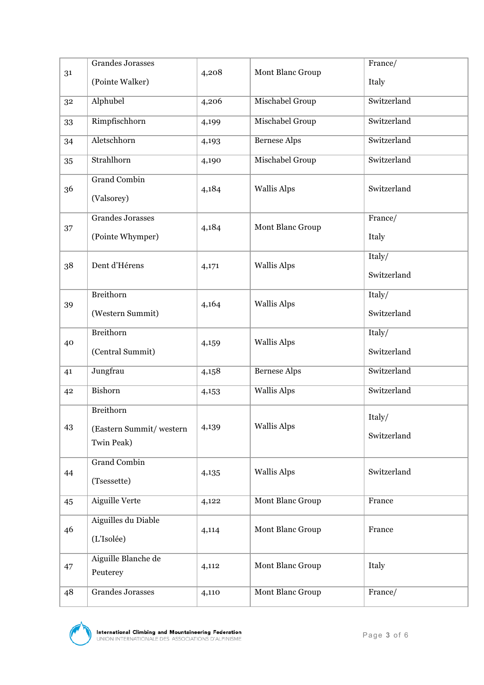| 31 | <b>Grandes Jorasses</b>               | 4,208 | Mont Blanc Group        | France/     |
|----|---------------------------------------|-------|-------------------------|-------------|
|    | (Pointe Walker)                       |       |                         | Italy       |
| 32 | Alphubel                              | 4,206 | Mischabel Group         | Switzerland |
| 33 | Rimpfischhorn                         | 4,199 | Mischabel Group         | Switzerland |
| 34 | Aletschhorn                           | 4,193 | <b>Bernese Alps</b>     | Switzerland |
| 35 | Strahlhorn                            | 4,190 | Mischabel Group         | Switzerland |
| 36 | <b>Grand Combin</b><br>(Valsorey)     | 4,184 | <b>Wallis Alps</b>      | Switzerland |
| 37 | <b>Grandes Jorasses</b>               | 4,184 | Mont Blanc Group        | France/     |
|    | (Pointe Whymper)                      |       |                         | Italy       |
| 38 | Dent d'Hérens                         | 4,171 | <b>Wallis Alps</b>      | Italy/      |
|    |                                       |       |                         | Switzerland |
| 39 | Breithorn                             | 4,164 | <b>Wallis Alps</b>      | Italy/      |
|    | (Western Summit)                      |       |                         | Switzerland |
| 40 | Breithorn                             | 4,159 | <b>Wallis Alps</b>      | Italy/      |
|    | (Central Summit)                      |       |                         | Switzerland |
| 41 | Jungfrau                              | 4,158 | <b>Bernese Alps</b>     | Switzerland |
| 42 | Bishorn                               | 4,153 | <b>Wallis Alps</b>      | Switzerland |
|    | Breithorn                             | 4,139 | <b>Wallis Alps</b>      | Italy/      |
| 43 | (Eastern Summit/western<br>Twin Peak) |       |                         | Switzerland |
|    |                                       |       |                         |             |
| 44 | <b>Grand Combin</b>                   | 4,135 | <b>Wallis Alps</b>      | Switzerland |
|    | (Tsessette)<br><b>Aiguille Verte</b>  |       | <b>Mont Blanc Group</b> | France      |
| 45 |                                       | 4,122 |                         |             |
| 46 | Aiguilles du Diable                   | 4,114 | Mont Blanc Group        | France      |
|    | (L'Isolée)                            |       |                         |             |
| 47 | Aiguille Blanche de<br>Peuterey       | 4,112 | Mont Blanc Group        | Italy       |
| 48 | <b>Grandes Jorasses</b>               | 4,110 | Mont Blanc Group        | France/     |
|    |                                       |       |                         |             |

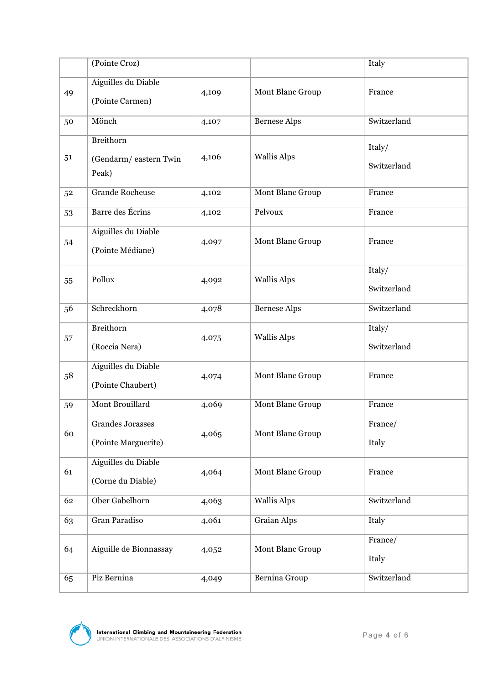|    | (Pointe Croz)                                      |       |                     | Italy                 |
|----|----------------------------------------------------|-------|---------------------|-----------------------|
| 49 | <b>Aiguilles du Diable</b><br>(Pointe Carmen)      | 4,109 | Mont Blanc Group    | France                |
| 50 | Mönch                                              | 4,107 | <b>Bernese Alps</b> | Switzerland           |
| 51 | <b>Breithorn</b><br>(Gendarm/eastern Twin<br>Peak) | 4,106 | <b>Wallis Alps</b>  | Italy/<br>Switzerland |
| 52 | <b>Grande Rocheuse</b>                             | 4,102 | Mont Blanc Group    | France                |
| 53 | Barre des Écrins                                   | 4,102 | Pelvoux             | France                |
| 54 | Aiguilles du Diable<br>(Pointe Médiane)            | 4,097 | Mont Blanc Group    | France                |
| 55 | Pollux                                             | 4,092 | <b>Wallis Alps</b>  | Italy/<br>Switzerland |
| 56 | Schreckhorn                                        | 4,078 | <b>Bernese Alps</b> | Switzerland           |
| 57 | Breithorn<br>(Roccia Nera)                         | 4,075 | <b>Wallis Alps</b>  | Italy/<br>Switzerland |
| 58 | <b>Aiguilles du Diable</b><br>(Pointe Chaubert)    | 4,074 | Mont Blanc Group    | France                |
| 59 | Mont Brouillard                                    | 4,069 | Mont Blanc Group    | France                |
| 60 | Grandes Jorasses<br>(Pointe Marguerite)            | 4,065 | Mont Blanc Group    | France/<br>Italy      |
| 61 | Aiguilles du Diable<br>(Corne du Diable)           | 4,064 | Mont Blanc Group    | France                |
| 62 | Ober Gabelhorn                                     | 4,063 | <b>Wallis Alps</b>  | Switzerland           |
| 63 | Gran Paradiso                                      | 4,061 | <b>Graian Alps</b>  | Italy                 |
| 64 | Aiguille de Bionnassay                             | 4,052 | Mont Blanc Group    | France/<br>Italy      |
| 65 | Piz Bernina                                        | 4,049 | Bernina Group       | Switzerland           |

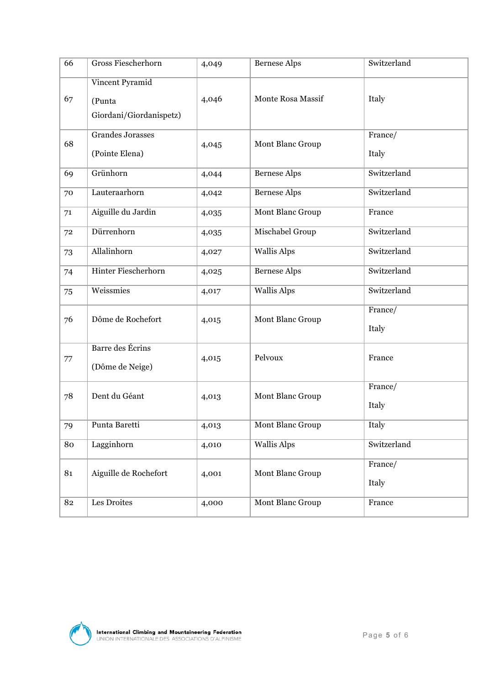| 66 | Gross Fiescherhorn                                   | 4,049 | <b>Bernese Alps</b> | Switzerland      |
|----|------------------------------------------------------|-------|---------------------|------------------|
| 67 | Vincent Pyramid<br>(Punta<br>Giordani/Giordanispetz) | 4,046 | Monte Rosa Massif   | Italy            |
| 68 | <b>Grandes Jorasses</b><br>(Pointe Elena)            | 4,045 | Mont Blanc Group    | France/<br>Italy |
| 69 | Grünhorn                                             | 4,044 | <b>Bernese Alps</b> | Switzerland      |
| 70 | Lauteraarhorn                                        | 4,042 | <b>Bernese Alps</b> | Switzerland      |
| 71 | Aiguille du Jardin                                   | 4,035 | Mont Blanc Group    | France           |
| 72 | Dürrenhorn                                           | 4,035 | Mischabel Group     | Switzerland      |
| 73 | Allalinhorn                                          | 4,027 | <b>Wallis Alps</b>  | Switzerland      |
| 74 | Hinter Fiescherhorn                                  | 4,025 | <b>Bernese Alps</b> | Switzerland      |
| 75 | Weissmies                                            | 4,017 | <b>Wallis Alps</b>  | Switzerland      |
| 76 | Dôme de Rochefort                                    | 4,015 | Mont Blanc Group    | France/<br>Italy |
| 77 | Barre des Écrins<br>(Dôme de Neige)                  | 4,015 | Pelvoux             | France           |
| 78 | Dent du Géant                                        | 4,013 | Mont Blanc Group    | France/<br>Italy |
| 79 | Punta Baretti                                        | 4,013 | Mont Blanc Group    | Italy            |
| 80 | Lagginhorn                                           | 4,010 | <b>Wallis Alps</b>  | Switzerland      |
| 81 | Aiguille de Rochefort                                | 4,001 | Mont Blanc Group    | France/<br>Italy |
| 82 | Les Droites                                          | 4,000 | Mont Blanc Group    | France           |